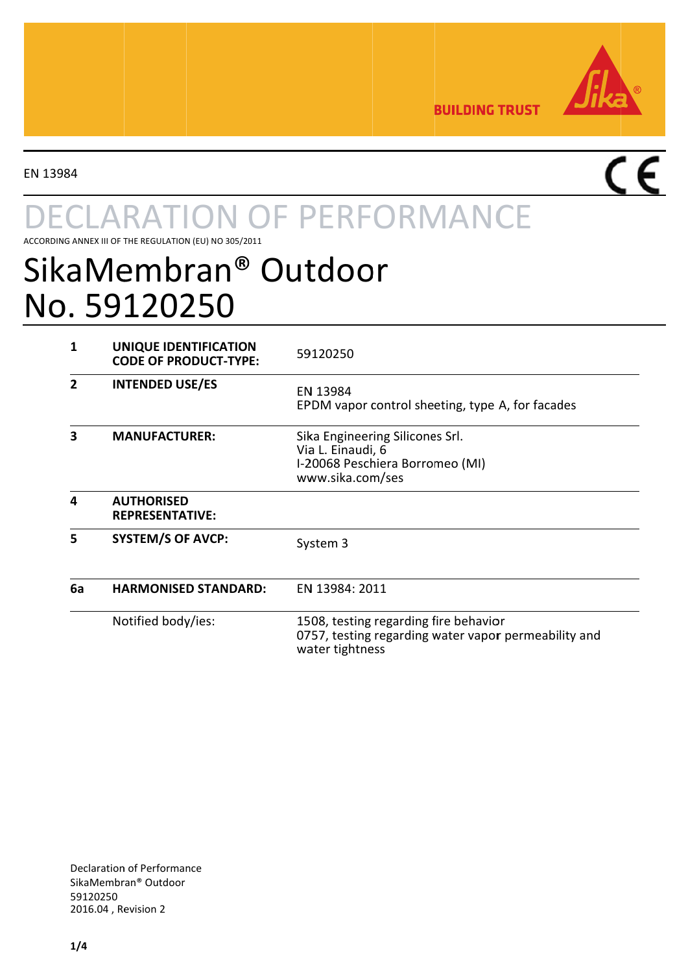

**BUILDING TRUST** 

EN 13984

# **ARATION OF PERFORMANCE**

ACCORDING ANNEX III OF THE REGULATION (EU) NO 305/2011

## SikaMembran® Outdoor No. 59120250

| 1  | UNIQUE IDENTIFICATION<br><b>CODE OF PRODUCT-TYPE:</b> | 59120250                                                                                                         |
|----|-------------------------------------------------------|------------------------------------------------------------------------------------------------------------------|
| 2  | <b>INTENDED USE/ES</b>                                | EN 13984<br>EPDM vapor control sheeting, type A, for facades                                                     |
| з  | <b>MANUFACTURER:</b>                                  | Sika Engineering Silicones Srl.<br>Via L. Einaudi, 6<br>I-20068 Peschiera Borromeo (MI)<br>www.sika.com/ses      |
| 4  | <b>AUTHORISED</b><br><b>REPRESENTATIVE:</b>           |                                                                                                                  |
| 5  | <b>SYSTEM/S OF AVCP:</b>                              | System 3                                                                                                         |
| 6a | <b>HARMONISED STANDARD:</b>                           | EN 13984: 2011                                                                                                   |
|    | Notified body/ies:                                    | 1508, testing regarding fire behavior<br>0757, testing regarding water vapor permeability and<br>water tightness |

**Declaration of Performance** SikaMembran<sup>®</sup> Outdoor 59120250 2016.04, Revision 2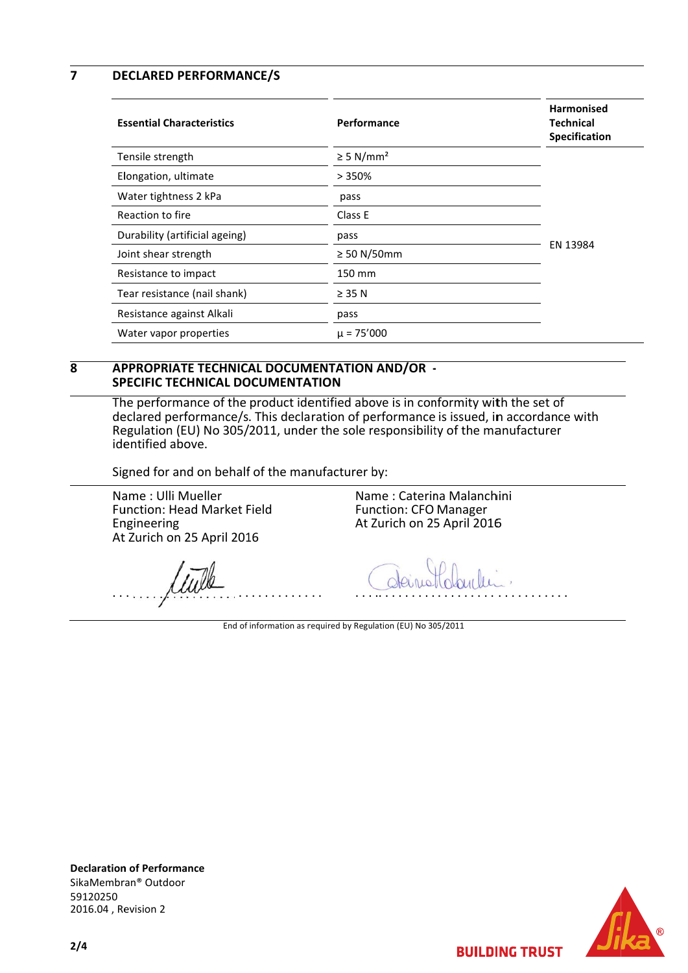$\overline{7}$ **DECLARED PERFORMANCE/S** 

| <b>Essential Characteristics</b> | Performance                | <b>Harmonised</b><br><b>Technical</b><br>Specification |
|----------------------------------|----------------------------|--------------------------------------------------------|
| Tensile strength                 | $\geq$ 5 N/mm <sup>2</sup> |                                                        |
| Elongation, ultimate             | >350%                      |                                                        |
| Water tightness 2 kPa            | pass                       |                                                        |
| Reaction to fire                 | Class E                    |                                                        |
| Durability (artificial ageing)   | pass                       | EN 13984                                               |
| Joint shear strength             | $\geq$ 50 N/50mm           |                                                        |
| Resistance to impact             | 150 mm                     |                                                        |
| Tear resistance (nail shank)     | $\geq$ 35 N                |                                                        |
| Resistance against Alkali        | pass                       |                                                        |
| Water vapor properties           | $\mu$ = 75'000             |                                                        |

### $\overline{\mathbf{R}}$ APPROPRIATE TECHNICAL DOCUMENTATION AND/OR -**SPECIFIC TECHNICAL DOCUMENTATION**

The performance of the product identified above is in conformity with the set of declared performance/s. This declaration of performance is issued, in accordance with Regulation (EU) No 305/2011, under the sole responsibility of the manufacturer identified above.

Signed for and on behalf of the manufacturer by:

Name: Ulli Mueller Function: Head Market Field Engineering At Zurich on 25 April 2016

Name: Caterina Malanchini **Function: CFO Manager** At Zurich on 25 April 2016

End of information as required by Regulation (EU) No 305/2011

**Declaration of Performance** SikaMembran® Outdoor 59120250 2016.04, Revision 2



**BUILDING TRUST**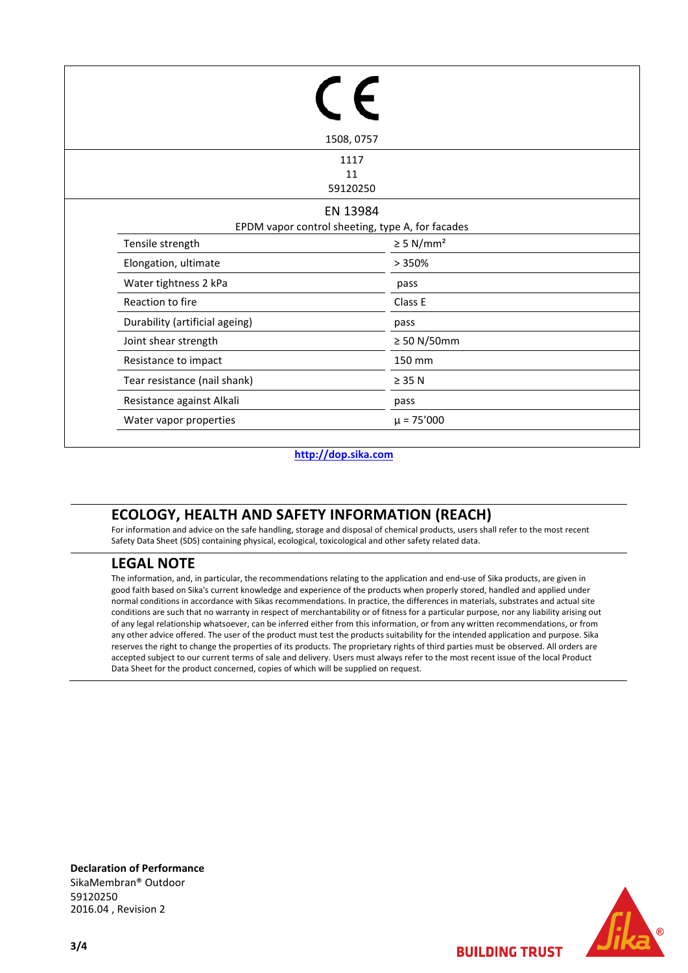|                                | 1508, 0757                                                   |
|--------------------------------|--------------------------------------------------------------|
|                                | 1117<br>11<br>59120250                                       |
|                                | EN 13984<br>EPDM vapor control sheeting, type A, for facades |
| Tensile strength               | $\geq$ 5 N/mm <sup>2</sup>                                   |
| Elongation, ultimate           | >350%                                                        |
| Water tightness 2 kPa          | pass                                                         |
| Reaction to fire               | Class E                                                      |
| Durability (artificial ageing) | pass                                                         |
| Joint shear strength           | $\geq 50$ N/50mm                                             |
| Resistance to impact           | 150 mm                                                       |
| Tear resistance (nail shank)   | $\geq$ 35 N                                                  |
| Resistance against Alkali      | pass                                                         |
| Water vapor properties         | $\mu$ = 75'000                                               |

### **http://dop.sika.com**

## **ECOLOGY, HEALTH AND SAFETY INFORMATION (REACH)**

For information and advice on the safe handling, storage and disposal of chemical products, users shall refer to the most recent Safety Data Sheet (SDS) containing physical, ecological, toxicological and other safety related data.

## **LEGAL NOTE**

The information, and, in particular, the recommendations relating to the application and end-use of Sika products, are given in good faith based on Sika's current knowledge and experience of the products when properly stored, handled and applied under normal conditions in accordance with Sikas recommendations. In practice, the differences in materials, substrates and actual site conditions are such that no warranty in respect of merchantability or of fitness for a particular purpose, nor any liability arising out of any legal relationship whatsoever, can be inferred either from this information, or from any written recommendations, or from any other advice offered. The user of the product must test the products suitability for the intended application and purpose. Sika reserves the right to change the properties of its products. The proprietary rights of third parties must be observed. All orders are accepted subject to our current terms of sale and delivery. Users must always refer to the most recent issue of the local Product Data Sheet for the product concerned, copies of which will be supplied on request.

**Declaration of Performance** SikaMembran® Outdoor 59120250 2016.04 , Revision 2